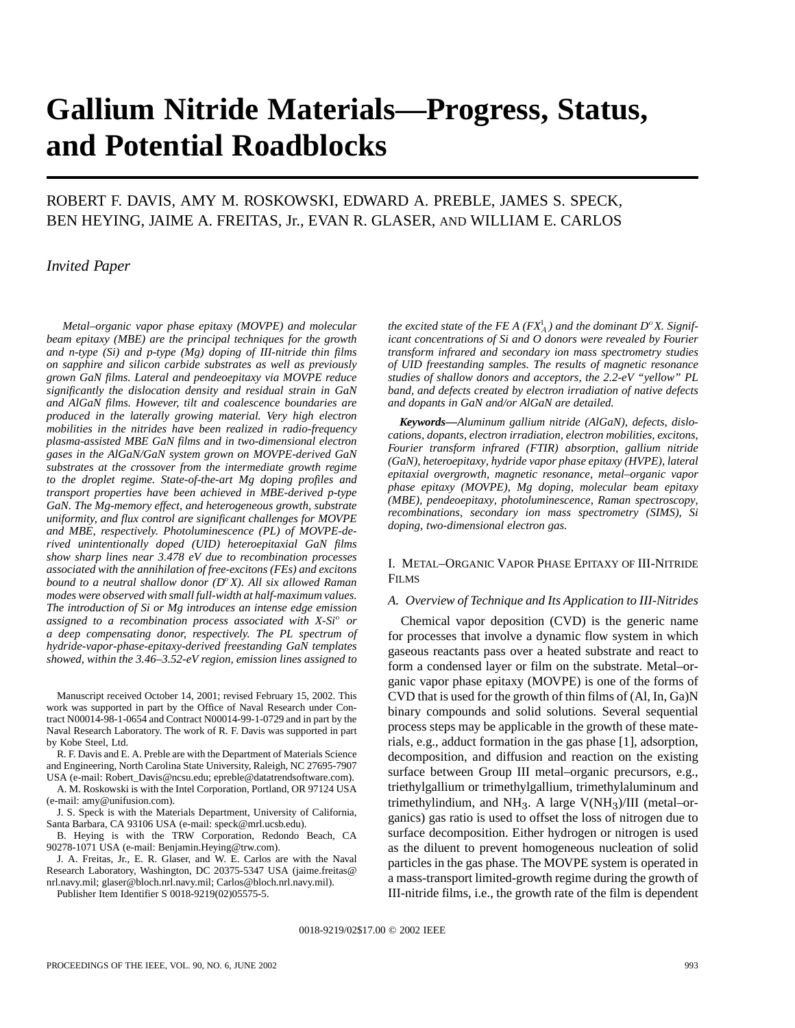# **Gallium Nitride Materials—Progress, Status, and Potential Roadblocks**

# ROBERT F. DAVIS, AMY M. ROSKOWSKI, EDWARD A. PREBLE, JAMES S. SPECK, BEN HEYING, JAIME A. FREITAS, Jr., EVAN R. GLASER, AND WILLIAM E. CARLOS

### *Invited Paper*

*Metal–organic vapor phase epitaxy (MOVPE) and molecular beam epitaxy (MBE) are the principal techniques for the growth and n-type (Si) and p-type (Mg) doping of III-nitride thin films on sapphire and silicon carbide substrates as well as previously grown GaN films. Lateral and pendeoepitaxy via MOVPE reduce significantly the dislocation density and residual strain in GaN and AlGaN films. However, tilt and coalescence boundaries are produced in the laterally growing material. Very high electron mobilities in the nitrides have been realized in radio-frequency plasma-assisted MBE GaN films and in two-dimensional electron gases in the AlGaN/GaN system grown on MOVPE-derived GaN substrates at the crossover from the intermediate growth regime to the droplet regime. State-of-the-art Mg doping profiles and transport properties have been achieved in MBE-derived p-type GaN. The Mg-memory effect, and heterogeneous growth, substrate uniformity, and flux control are significant challenges for MOVPE and MBE, respectively. Photoluminescence (PL) of MOVPE-derived unintentionally doped (UID) heteroepitaxial GaN films show sharp lines near 3.478 eV due to recombination processes associated with the annihilation of free-excitons (FEs) and excitons bound to a neutral shallow donor (D*<sup>o</sup>*X). All six allowed Raman modes were observed with small full-width at half-maximum values. The introduction of Si or Mg introduces an intense edge emission assigned to a recombination process associated with X-Si*<sup>o</sup> *or a deep compensating donor, respectively. The PL spectrum of hydride-vapor-phase-epitaxy-derived freestanding GaN templates showed, within the 3.46–3.52-eV region, emission lines assigned to*

Manuscript received October 14, 2001; revised February 15, 2002. This work was supported in part by the Office of Naval Research under Contract N00014-98-1-0654 and Contract N00014-99-1-0729 and in part by the Naval Research Laboratory. The work of R. F. Davis was supported in part by Kobe Steel, Ltd.

R. F. Davis and E. A. Preble are with the Department of Materials Science and Engineering, North Carolina State University, Raleigh, NC 27695-7907

USA (e-mail: Robert\_Davis@ncsu.edu; epreble@datatrendsoftware.com). A. M. Roskowski is with the Intel Corporation, Portland, OR 97124 USA (e-mail: amy@unifusion.com).

J. S. Speck is with the Materials Department, University of California, Santa Barbara, CA 93106 USA (e-mail: speck@mrl.ucsb.edu).

B. Heying is with the TRW Corporation, Redondo Beach, CA 90278-1071 USA (e-mail: Benjamin.Heying@trw.com).

J. A. Freitas, Jr., E. R. Glaser, and W. E. Carlos are with the Naval Research Laboratory, Washington, DC 20375-5347 USA (jaime.freitas@ nrl.navy.mil; glaser@bloch.nrl.navy.mil; Carlos@bloch.nrl.navy.mil).

Publisher Item Identifier S 0018-9219(02)05575-5.

*the excited state of the FE A (FX<sup>1</sup><sub>A</sub>) and the dominant*  $D^{\circ}X$ *. Significant concentrations of Si and O donors were revealed by Fourier transform infrared and secondary ion mass spectrometry studies of UID freestanding samples. The results of magnetic resonance studies of shallow donors and acceptors, the 2.2-eV "yellow" PL band, and defects created by electron irradiation of native defects and dopants in GaN and/or AlGaN are detailed.*

*Keywords—Aluminum gallium nitride (AlGaN), defects, dislocations, dopants, electron irradiation, electron mobilities, excitons, Fourier transform infrared (FTIR) absorption, gallium nitride (GaN), heteroepitaxy, hydride vapor phase epitaxy (HVPE), lateral epitaxial overgrowth, magnetic resonance, metal–organic vapor phase epitaxy (MOVPE), Mg doping, molecular beam epitaxy (MBE), pendeoepitaxy, photoluminescence, Raman spectroscopy, recombinations, secondary ion mass spectrometry (SIMS), Si doping, two-dimensional electron gas.*

#### I. METAL–ORGANIC VAPOR PHASE EPITAXY OF III-NITRIDE **FILMS**

#### *A. Overview of Technique and Its Application to III-Nitrides*

Chemical vapor deposition (CVD) is the generic name for processes that involve a dynamic flow system in which gaseous reactants pass over a heated substrate and react to form a condensed layer or film on the substrate. Metal–organic vapor phase epitaxy (MOVPE) is one of the forms of CVD that is used for the growth of thin films of (Al, In, Ga)N binary compounds and solid solutions. Several sequential process steps may be applicable in the growth of these materials, e.g., adduct formation in the gas phase [1], adsorption, decomposition, and diffusion and reaction on the existing surface between Group III metal–organic precursors, e.g., triethylgallium or trimethylgallium, trimethylaluminum and trimethylindium, and NH<sub>3</sub>. A large V(NH<sub>3</sub>)/III (metal-organics) gas ratio is used to offset the loss of nitrogen due to surface decomposition. Either hydrogen or nitrogen is used as the diluent to prevent homogeneous nucleation of solid particles in the gas phase. The MOVPE system is operated in a mass-transport limited-growth regime during the growth of III-nitride films, i.e., the growth rate of the film is dependent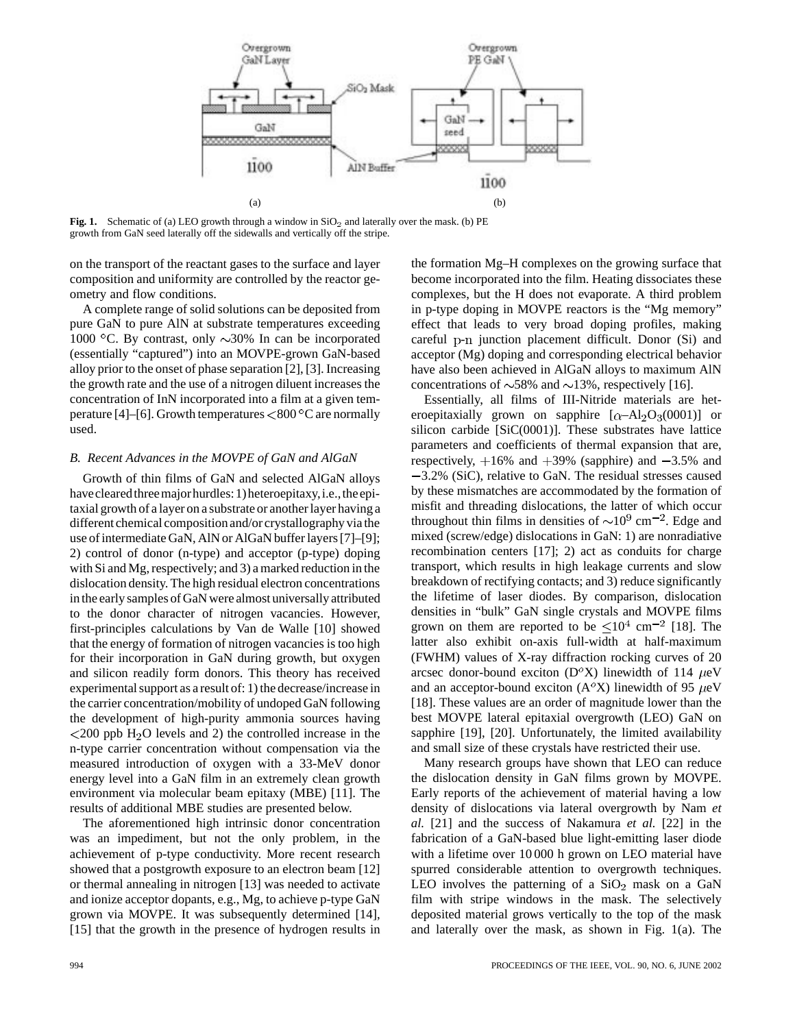

Fig. 1. Schematic of (a) LEO growth through a window in  $SiO<sub>2</sub>$  and laterally over the mask. (b) PE growth from GaN seed laterally off the sidewalls and vertically off the stripe.

on the transport of the reactant gases to the surface and layer composition and uniformity are controlled by the reactor geometry and flow conditions.

A complete range of solid solutions can be deposited from pure GaN to pure AlN at substrate temperatures exceeding 1000 °C. By contrast, only  $\sim$ 30% In can be incorporated (essentially "captured") into an MOVPE-grown GaN-based alloy prior to the onset of phase separation [2], [3]. Increasing the growth rate and the use of a nitrogen diluent increases the concentration of InN incorporated into a film at a given temperature [4]–[6]. Growth temperatures  $< 800\,^{\circ}\text{C}$  are normally used.

#### *B. Recent Advances in the MOVPE of GaN and AlGaN*

Growth of thin films of GaN and selected AlGaN alloys have cleared three major hurdles: 1) heteroepitaxy, i.e., the epitaxial growth of a layer on a substrate or another layer having a different chemical composition and/or crystallography via the use of intermediate GaN, AlN or AlGaN buffer layers [7]–[9]; 2) control of donor (n-type) and acceptor (p-type) doping with Si and Mg, respectively; and 3) a marked reduction in the dislocation density. The high residual electron concentrations in the early samples of GaN were almost universally attributed to the donor character of nitrogen vacancies. However, first-principles calculations by Van de Walle [10] showed that the energy of formation of nitrogen vacancies is too high for their incorporation in GaN during growth, but oxygen and silicon readily form donors. This theory has received experimental support as a result of: 1) the decrease/increase in the carrier concentration/mobility of undoped GaN following the development of high-purity ammonia sources having  $\langle 200 \text{ ppb H}_2 \rangle$  levels and 2) the controlled increase in the n-type carrier concentration without compensation via the measured introduction of oxygen with a 33-MeV donor energy level into a GaN film in an extremely clean growth environment via molecular beam epitaxy (MBE) [11]. The results of additional MBE studies are presented below.

The aforementioned high intrinsic donor concentration was an impediment, but not the only problem, in the achievement of p-type conductivity. More recent research showed that a postgrowth exposure to an electron beam [12] or thermal annealing in nitrogen [13] was needed to activate and ionize acceptor dopants, e.g., Mg, to achieve p-type GaN grown via MOVPE. It was subsequently determined [14], [15] that the growth in the presence of hydrogen results in the formation Mg–H complexes on the growing surface that become incorporated into the film. Heating dissociates these complexes, but the H does not evaporate. A third problem in p-type doping in MOVPE reactors is the "Mg memory" effect that leads to very broad doping profiles, making careful p-n junction placement difficult. Donor (Si) and acceptor (Mg) doping and corresponding electrical behavior have also been achieved in AlGaN alloys to maximum AlN concentrations of  $\sim$ 58% and  $\sim$ 13%, respectively [16].

Essentially, all films of III-Nitride materials are heteroepitaxially grown on sapphire  $[\alpha - Al_2O_3(0001)]$  or silicon carbide [SiC(0001)]. These substrates have lattice parameters and coefficients of thermal expansion that are, respectively,  $+16\%$  and  $+39\%$  (sapphire) and  $-3.5\%$  and  $-3.2\%$  (SiC), relative to GaN. The residual stresses caused by these mismatches are accommodated by the formation of misfit and threading dislocations, the latter of which occur throughout thin films in densities of  $\sim 10^9$  cm<sup>-2</sup>. Edge and mixed (screw/edge) dislocations in GaN: 1) are nonradiative recombination centers [17]; 2) act as conduits for charge transport, which results in high leakage currents and slow breakdown of rectifying contacts; and 3) reduce significantly the lifetime of laser diodes. By comparison, dislocation densities in "bulk" GaN single crystals and MOVPE films grown on them are reported to be  $\leq 10^4$  cm<sup>-2</sup> [18]. The latter also exhibit on-axis full-width at half-maximum (FWHM) values of X-ray diffraction rocking curves of 20 arcsec donor-bound exciton ( $D^{\circ}X$ ) linewidth of 114  $\mu$ eV and an acceptor-bound exciton ( $A^{\circ}X$ ) linewidth of 95  $\mu$ eV [18]. These values are an order of magnitude lower than the best MOVPE lateral epitaxial overgrowth (LEO) GaN on sapphire [19], [20]. Unfortunately, the limited availability and small size of these crystals have restricted their use.

Many research groups have shown that LEO can reduce the dislocation density in GaN films grown by MOVPE. Early reports of the achievement of material having a low density of dislocations via lateral overgrowth by Nam *et al.* [21] and the success of Nakamura *et al.* [22] in the fabrication of a GaN-based blue light-emitting laser diode with a lifetime over 10 000 h grown on LEO material have spurred considerable attention to overgrowth techniques. LEO involves the patterning of a  $SiO<sub>2</sub>$  mask on a GaN film with stripe windows in the mask. The selectively deposited material grows vertically to the top of the mask and laterally over the mask, as shown in Fig. 1(a). The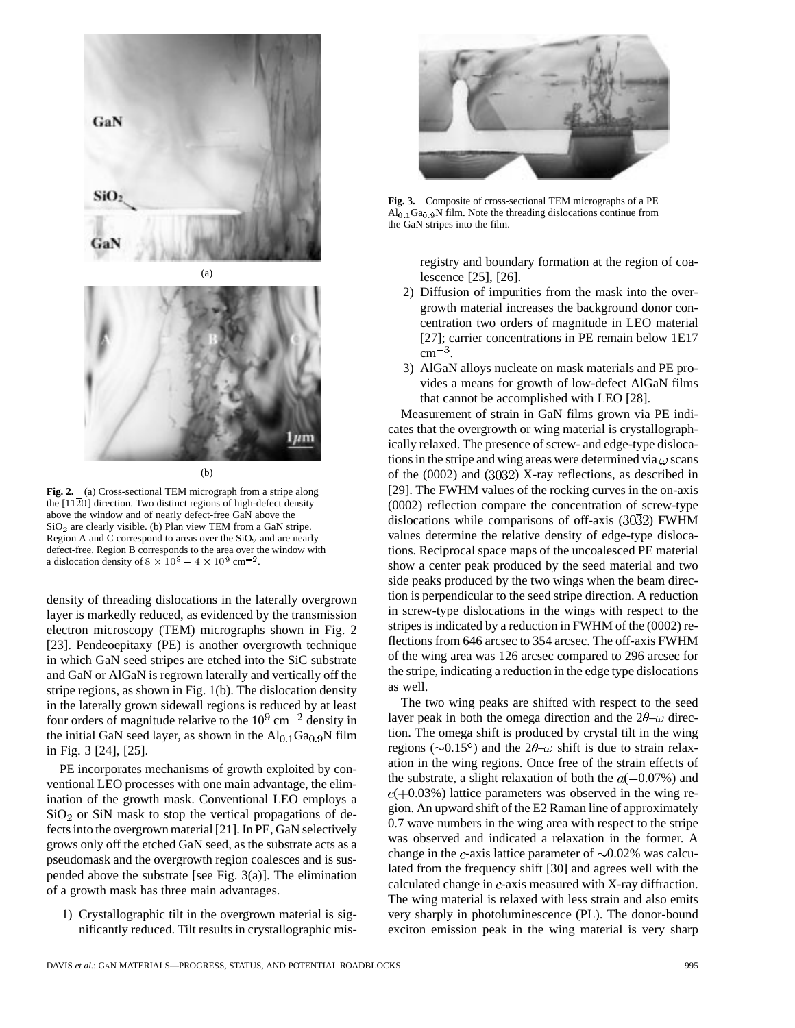

(b)

**Fig. 2.** (a) Cross-sectional TEM micrograph from a stripe along the  $[11\overline{2}0]$  direction. Two distinct regions of high-defect density above the window and of nearly defect-free GaN above the  $SiO<sub>2</sub>$  are clearly visible. (b) Plan view TEM from a GaN stripe. Region A and C correspond to areas over the  $SiO<sub>2</sub>$  and are nearly defect-free. Region B corresponds to the area over the window with a dislocation density of  $8 \times 10^8 - 4 \times 10^9$  cm<sup>-2</sup>.

density of threading dislocations in the laterally overgrown layer is markedly reduced, as evidenced by the transmission electron microscopy (TEM) micrographs shown in Fig. 2 [23]. Pendeoepitaxy (PE) is another overgrowth technique in which GaN seed stripes are etched into the SiC substrate and GaN or AlGaN is regrown laterally and vertically off the stripe regions, as shown in Fig. 1(b). The dislocation density in the laterally grown sidewall regions is reduced by at least four orders of magnitude relative to the  $10^9$  cm<sup>-2</sup> density in the initial GaN seed layer, as shown in the  $Al<sub>0.1</sub> Ga<sub>0.9</sub>N$  film in Fig. 3 [24], [25].

PE incorporates mechanisms of growth exploited by conventional LEO processes with one main advantage, the elimination of the growth mask. Conventional LEO employs a  $SiO<sub>2</sub>$  or SiN mask to stop the vertical propagations of defects into the overgrown material [21]. In PE, GaN selectively grows only off the etched GaN seed, as the substrate acts as a pseudomask and the overgrowth region coalesces and is suspended above the substrate [see Fig. 3(a)]. The elimination of a growth mask has three main advantages.

1) Crystallographic tilt in the overgrown material is significantly reduced. Tilt results in crystallographic mis-



**Fig. 3.** Composite of cross-sectional TEM micrographs of a PE  $\overline{Al}_{0,1}$  Ga<sub>0.9</sub>N film. Note the threading dislocations continue from the GaN stripes into the film.

registry and boundary formation at the region of coalescence [25], [26].

- 2) Diffusion of impurities from the mask into the overgrowth material increases the background donor concentration two orders of magnitude in LEO material [27]; carrier concentrations in PE remain below 1E17  $cm^{-3}$ .
- 3) AlGaN alloys nucleate on mask materials and PE provides a means for growth of low-defect AlGaN films that cannot be accomplished with LEO [28].

Measurement of strain in GaN films grown via PE indicates that the overgrowth or wing material is crystallographically relaxed. The presence of screw- and edge-type dislocations in the stripe and wing areas were determined via  $\omega$  scans of the (0002) and (30 $\overline{3}2$ ) X-ray reflections, as described in [29]. The FWHM values of the rocking curves in the on-axis (0002) reflection compare the concentration of screw-type dislocations while comparisons of off-axis  $(30\overline{3}2)$  FWHM values determine the relative density of edge-type dislocations. Reciprocal space maps of the uncoalesced PE material show a center peak produced by the seed material and two side peaks produced by the two wings when the beam direction is perpendicular to the seed stripe direction. A reduction in screw-type dislocations in the wings with respect to the stripes is indicated by a reduction in FWHM of the (0002) reflections from 646 arcsec to 354 arcsec. The off-axis FWHM of the wing area was 126 arcsec compared to 296 arcsec for the stripe, indicating a reduction in the edge type dislocations as well.

The two wing peaks are shifted with respect to the seed layer peak in both the omega direction and the  $2\theta-\omega$  direction. The omega shift is produced by crystal tilt in the wing regions ( $\sim$ 0.15°) and the 2 $\theta$ - $\omega$  shift is due to strain relaxation in the wing regions. Once free of the strain effects of the substrate, a slight relaxation of both the  $a(-0.07%)$  and  $c(+0.03%)$  lattice parameters was observed in the wing region. An upward shift of the E2 Raman line of approximately 0.7 wave numbers in the wing area with respect to the stripe was observed and indicated a relaxation in the former. A change in the c-axis lattice parameter of  $\sim 0.02\%$  was calculated from the frequency shift [30] and agrees well with the calculated change in  $c$ -axis measured with X-ray diffraction. The wing material is relaxed with less strain and also emits very sharply in photoluminescence (PL). The donor-bound exciton emission peak in the wing material is very sharp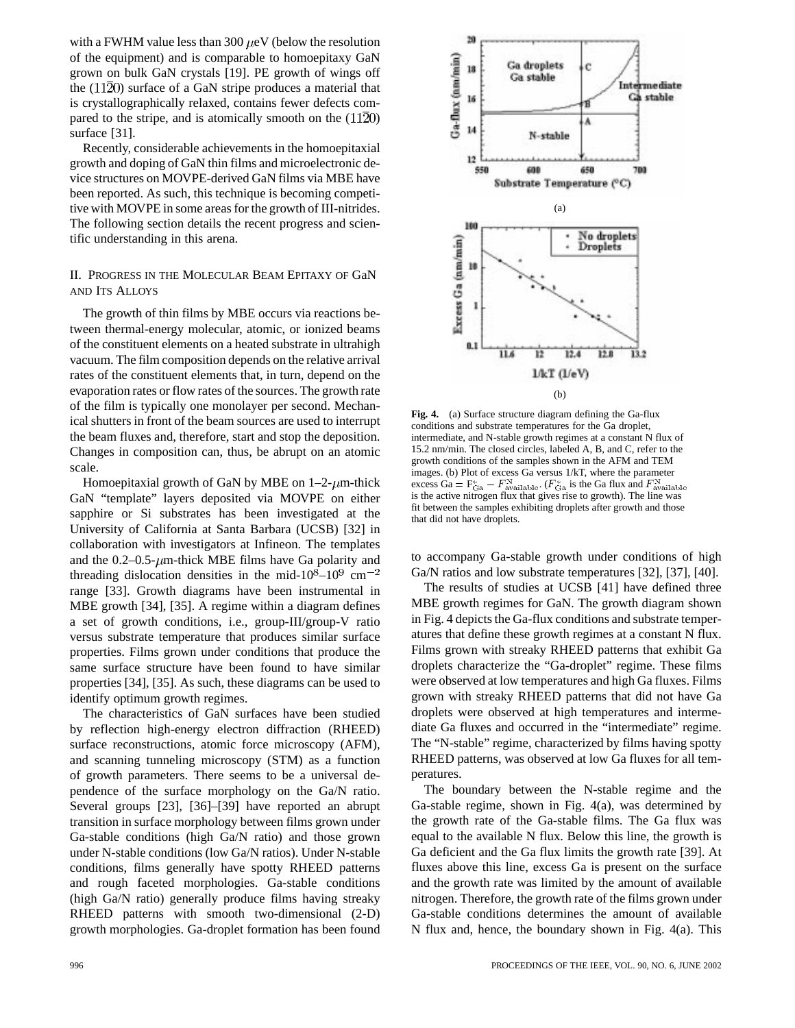with a FWHM value less than 300  $\mu$ eV (below the resolution of the equipment) and is comparable to homoepitaxy GaN grown on bulk GaN crystals [19]. PE growth of wings off the  $(11\overline{2}0)$  surface of a GaN stripe produces a material that is crystallographically relaxed, contains fewer defects compared to the stripe, and is atomically smooth on the  $(11\overline{2}0)$ surface [31].

Recently, considerable achievements in the homoepitaxial growth and doping of GaN thin films and microelectronic device structures on MOVPE-derived GaN films via MBE have been reported. As such, this technique is becoming competitive with MOVPE in some areas for the growth of III-nitrides. The following section details the recent progress and scientific understanding in this arena.

## II. PROGRESS IN THE MOLECULAR BEAM EPITAXY OF GaN AND ITS ALLOYS

The growth of thin films by MBE occurs via reactions between thermal-energy molecular, atomic, or ionized beams of the constituent elements on a heated substrate in ultrahigh vacuum. The film composition depends on the relative arrival rates of the constituent elements that, in turn, depend on the evaporation rates or flow rates of the sources. The growth rate of the film is typically one monolayer per second. Mechanical shutters in front of the beam sources are used to interrupt the beam fluxes and, therefore, start and stop the deposition. Changes in composition can, thus, be abrupt on an atomic scale.

Homoepitaxial growth of GaN by MBE on  $1-2$ - $\mu$ m-thick GaN "template" layers deposited via MOVPE on either sapphire or Si substrates has been investigated at the University of California at Santa Barbara (UCSB) [32] in collaboration with investigators at Infineon. The templates and the  $0.2-0.5$ - $\mu$ m-thick MBE films have Ga polarity and threading dislocation densities in the mid- $10^8 - 10^9$  cm<sup>-2</sup> range [33]. Growth diagrams have been instrumental in MBE growth [34], [35]. A regime within a diagram defines a set of growth conditions, i.e., group-III/group-V ratio versus substrate temperature that produces similar surface properties. Films grown under conditions that produce the same surface structure have been found to have similar properties [34], [35]. As such, these diagrams can be used to identify optimum growth regimes.

The characteristics of GaN surfaces have been studied by reflection high-energy electron diffraction (RHEED) surface reconstructions, atomic force microscopy (AFM), and scanning tunneling microscopy (STM) as a function of growth parameters. There seems to be a universal dependence of the surface morphology on the Ga/N ratio. Several groups [23], [36]–[39] have reported an abrupt transition in surface morphology between films grown under Ga-stable conditions (high Ga/N ratio) and those grown under N-stable conditions (low Ga/N ratios). Under N-stable conditions, films generally have spotty RHEED patterns and rough faceted morphologies. Ga-stable conditions (high Ga/N ratio) generally produce films having streaky RHEED patterns with smooth two-dimensional (2-D) growth morphologies. Ga-droplet formation has been found



**Fig. 4.** (a) Surface structure diagram defining the Ga-flux conditions and substrate temperatures for the Ga droplet, intermediate, and N-stable growth regimes at a constant N flux of 15.2 nm/min. The closed circles, labeled A, B, and C, refer to the growth conditions of the samples shown in the AFM and TEM images. (b) Plot of excess Ga versus 1/kT, where the parameter excess  $Ga = F_{Ga}^* - F_{\text{available}}^N$ . ( $F_{Ga}^*$  is the Ga flux and  $F_{\text{available}}^N$ is the active nitrogen flux that gives rise to growth). The line was fit between the samples exhibiting droplets after growth and those that did not have droplets.

to accompany Ga-stable growth under conditions of high Ga/N ratios and low substrate temperatures [32], [37], [40].

The results of studies at UCSB [41] have defined three MBE growth regimes for GaN. The growth diagram shown in Fig. 4 depicts the Ga-flux conditions and substrate temperatures that define these growth regimes at a constant N flux. Films grown with streaky RHEED patterns that exhibit Ga droplets characterize the "Ga-droplet" regime. These films were observed at low temperatures and high Ga fluxes. Films grown with streaky RHEED patterns that did not have Ga droplets were observed at high temperatures and intermediate Ga fluxes and occurred in the "intermediate" regime. The "N-stable" regime, characterized by films having spotty RHEED patterns, was observed at low Ga fluxes for all temperatures.

The boundary between the N-stable regime and the Ga-stable regime, shown in Fig. 4(a), was determined by the growth rate of the Ga-stable films. The Ga flux was equal to the available N flux. Below this line, the growth is Ga deficient and the Ga flux limits the growth rate [39]. At fluxes above this line, excess Ga is present on the surface and the growth rate was limited by the amount of available nitrogen. Therefore, the growth rate of the films grown under Ga-stable conditions determines the amount of available N flux and, hence, the boundary shown in Fig. 4(a). This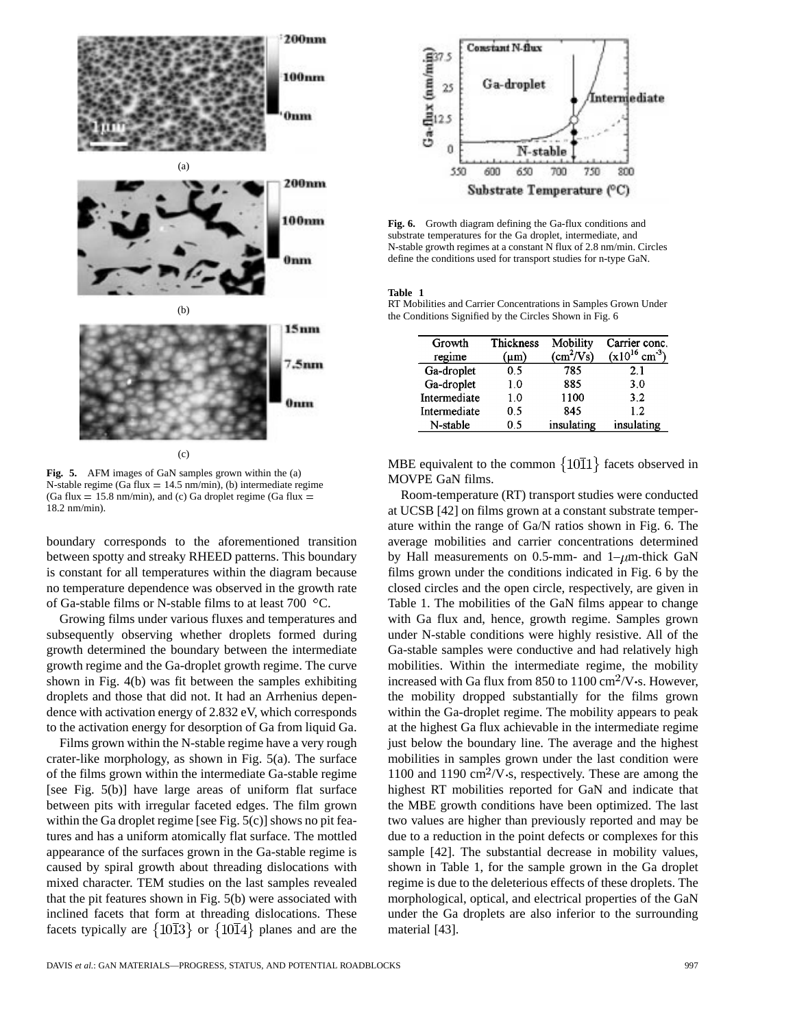

**Fig. 5.** AFM images of GaN samples grown within the (a) N-stable regime (Ga flux  $= 14.5$  nm/min), (b) intermediate regime (Ga flux  $= 15.8$  nm/min), and (c) Ga droplet regime (Ga flux  $=$ 18.2 nm/min).

boundary corresponds to the aforementioned transition between spotty and streaky RHEED patterns. This boundary is constant for all temperatures within the diagram because no temperature dependence was observed in the growth rate of Ga-stable films or N-stable films to at least  $700\degree$ C.

Growing films under various fluxes and temperatures and subsequently observing whether droplets formed during growth determined the boundary between the intermediate growth regime and the Ga-droplet growth regime. The curve shown in Fig. 4(b) was fit between the samples exhibiting droplets and those that did not. It had an Arrhenius dependence with activation energy of 2.832 eV, which corresponds to the activation energy for desorption of Ga from liquid Ga.

Films grown within the N-stable regime have a very rough crater-like morphology, as shown in Fig. 5(a). The surface of the films grown within the intermediate Ga-stable regime [see Fig. 5(b)] have large areas of uniform flat surface between pits with irregular faceted edges. The film grown within the Ga droplet regime [see Fig. 5(c)] shows no pit features and has a uniform atomically flat surface. The mottled appearance of the surfaces grown in the Ga-stable regime is caused by spiral growth about threading dislocations with mixed character. TEM studies on the last samples revealed that the pit features shown in Fig. 5(b) were associated with inclined facets that form at threading dislocations. These facets typically are  $\{10\overline{1}3\}$  or  $\{10\overline{1}4\}$  planes and are the



**Fig. 6.** Growth diagram defining the Ga-flux conditions and substrate temperatures for the Ga droplet, intermediate, and N-stable growth regimes at a constant N flux of 2.8 nm/min. Circles define the conditions used for transport studies for n-type GaN.

#### **Table 1**

RT Mobilities and Carrier Concentrations in Samples Grown Under the Conditions Signified by the Circles Shown in Fig. 6

| Growth<br>regime | Thickness<br>(um) | Mobility<br>$(cm^2/Vs)$ | Carrier conc.<br>$(x10^{16}$ cm <sup>-3</sup> |
|------------------|-------------------|-------------------------|-----------------------------------------------|
| Ga-droplet       | 0.5               | 785                     | 2.1                                           |
| Ga-droplet       | 1.0               | 885                     | 3.0                                           |
| Intermediate     | 1.0               | 1100                    | 3.2                                           |
| Intermediate     | 0.5               | 845                     | 12                                            |
| N-stable         | 05                | insulating              | insulating                                    |

MBE equivalent to the common  ${10\overline{1}1}$  facets observed in MOVPE GaN films.

Room-temperature (RT) transport studies were conducted at UCSB [42] on films grown at a constant substrate temperature within the range of Ga/N ratios shown in Fig. 6. The average mobilities and carrier concentrations determined by Hall measurements on 0.5-mm- and  $1-\mu$ m-thick GaN films grown under the conditions indicated in Fig. 6 by the closed circles and the open circle, respectively, are given in Table 1. The mobilities of the GaN films appear to change with Ga flux and, hence, growth regime. Samples grown under N-stable conditions were highly resistive. All of the Ga-stable samples were conductive and had relatively high mobilities. Within the intermediate regime, the mobility increased with Ga flux from 850 to  $1100 \text{ cm}^2/\text{V}$  s. However, the mobility dropped substantially for the films grown within the Ga-droplet regime. The mobility appears to peak at the highest Ga flux achievable in the intermediate regime just below the boundary line. The average and the highest mobilities in samples grown under the last condition were 1100 and 1190  $\text{cm}^2/\text{V}$  s, respectively. These are among the highest RT mobilities reported for GaN and indicate that the MBE growth conditions have been optimized. The last two values are higher than previously reported and may be due to a reduction in the point defects or complexes for this sample [42]. The substantial decrease in mobility values, shown in Table 1, for the sample grown in the Ga droplet regime is due to the deleterious effects of these droplets. The morphological, optical, and electrical properties of the GaN under the Ga droplets are also inferior to the surrounding material [43].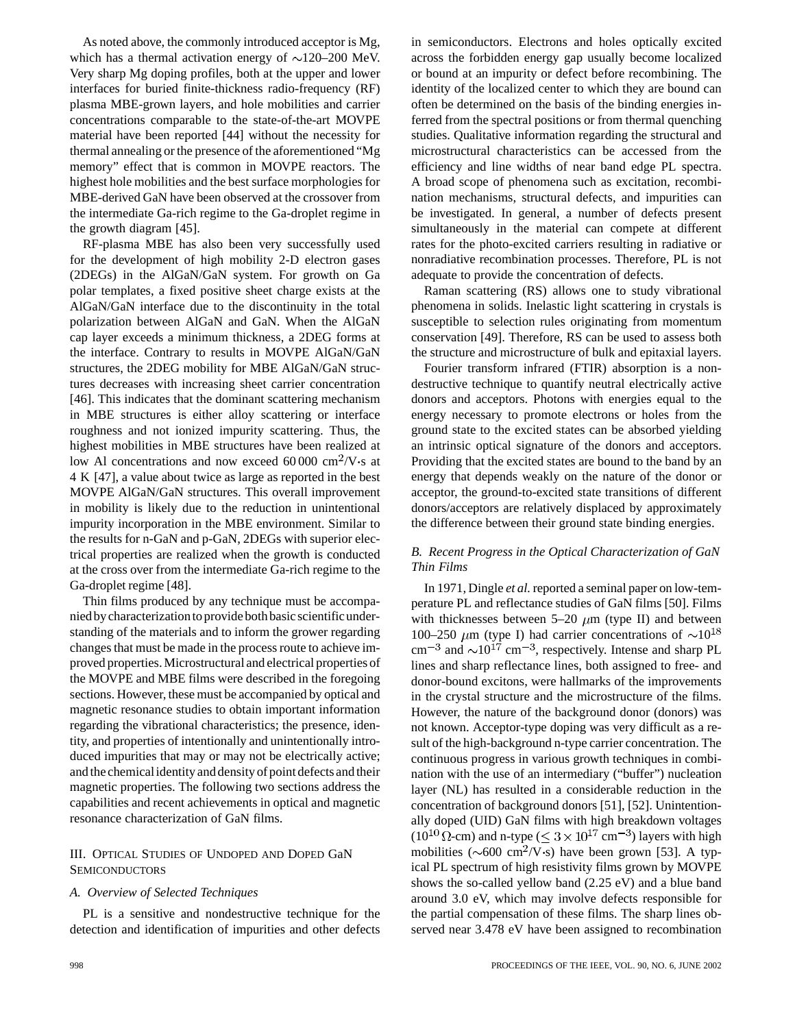As noted above, the commonly introduced acceptor is Mg, which has a thermal activation energy of  $\sim$ 120–200 MeV. Very sharp Mg doping profiles, both at the upper and lower interfaces for buried finite-thickness radio-frequency (RF) plasma MBE-grown layers, and hole mobilities and carrier concentrations comparable to the state-of-the-art MOVPE material have been reported [44] without the necessity for thermal annealing or the presence of the aforementioned "Mg memory" effect that is common in MOVPE reactors. The highest hole mobilities and the best surface morphologies for MBE-derived GaN have been observed at the crossover from the intermediate Ga-rich regime to the Ga-droplet regime in the growth diagram [45].

RF-plasma MBE has also been very successfully used for the development of high mobility 2-D electron gases (2DEGs) in the AlGaN/GaN system. For growth on Ga polar templates, a fixed positive sheet charge exists at the AlGaN/GaN interface due to the discontinuity in the total polarization between AlGaN and GaN. When the AlGaN cap layer exceeds a minimum thickness, a 2DEG forms at the interface. Contrary to results in MOVPE AlGaN/GaN structures, the 2DEG mobility for MBE AlGaN/GaN structures decreases with increasing sheet carrier concentration [46]. This indicates that the dominant scattering mechanism in MBE structures is either alloy scattering or interface roughness and not ionized impurity scattering. Thus, the highest mobilities in MBE structures have been realized at low Al concentrations and now exceed  $60\,000 \text{ cm}^2/\text{V}$  s at 4 K [47], a value about twice as large as reported in the best MOVPE AlGaN/GaN structures. This overall improvement in mobility is likely due to the reduction in unintentional impurity incorporation in the MBE environment. Similar to the results for n-GaN and p-GaN, 2DEGs with superior electrical properties are realized when the growth is conducted at the cross over from the intermediate Ga-rich regime to the Ga-droplet regime [48].

Thin films produced by any technique must be accompanied by characterization to provide both basic scientific understanding of the materials and to inform the grower regarding changes that must be made in the process route to achieve improved properties. Microstructural and electrical properties of the MOVPE and MBE films were described in the foregoing sections. However, these must be accompanied by optical and magnetic resonance studies to obtain important information regarding the vibrational characteristics; the presence, identity, and properties of intentionally and unintentionally introduced impurities that may or may not be electrically active; and the chemical identity and density of point defects and their magnetic properties. The following two sections address the capabilities and recent achievements in optical and magnetic resonance characterization of GaN films.

## III. OPTICAL STUDIES OF UNDOPED AND DOPED GaN **SEMICONDUCTORS**

#### *A. Overview of Selected Techniques*

PL is a sensitive and nondestructive technique for the detection and identification of impurities and other defects

in semiconductors. Electrons and holes optically excited across the forbidden energy gap usually become localized or bound at an impurity or defect before recombining. The identity of the localized center to which they are bound can often be determined on the basis of the binding energies inferred from the spectral positions or from thermal quenching studies. Qualitative information regarding the structural and microstructural characteristics can be accessed from the efficiency and line widths of near band edge PL spectra. A broad scope of phenomena such as excitation, recombination mechanisms, structural defects, and impurities can be investigated. In general, a number of defects present simultaneously in the material can compete at different rates for the photo-excited carriers resulting in radiative or nonradiative recombination processes. Therefore, PL is not adequate to provide the concentration of defects.

Raman scattering (RS) allows one to study vibrational phenomena in solids. Inelastic light scattering in crystals is susceptible to selection rules originating from momentum conservation [49]. Therefore, RS can be used to assess both the structure and microstructure of bulk and epitaxial layers.

Fourier transform infrared (FTIR) absorption is a nondestructive technique to quantify neutral electrically active donors and acceptors. Photons with energies equal to the energy necessary to promote electrons or holes from the ground state to the excited states can be absorbed yielding an intrinsic optical signature of the donors and acceptors. Providing that the excited states are bound to the band by an energy that depends weakly on the nature of the donor or acceptor, the ground-to-excited state transitions of different donors/acceptors are relatively displaced by approximately the difference between their ground state binding energies.

# *B. Recent Progress in the Optical Characterization of GaN Thin Films*

In 1971, Dingle *et al.* reported a seminal paper on low-temperature PL and reflectance studies of GaN films [50]. Films with thicknesses between  $5-20 \mu m$  (type II) and between 100–250  $\mu$ m (type I) had carrier concentrations of  $\sim 10^{18}$  $\text{cm}^{-3}$  and  $\sim 10^{17} \text{ cm}^{-3}$ , respectively. Intense and sharp PL lines and sharp reflectance lines, both assigned to free- and donor-bound excitons, were hallmarks of the improvements in the crystal structure and the microstructure of the films. However, the nature of the background donor (donors) was not known. Acceptor-type doping was very difficult as a result of the high-background n-type carrier concentration. The continuous progress in various growth techniques in combination with the use of an intermediary ("buffer") nucleation layer (NL) has resulted in a considerable reduction in the concentration of background donors [51], [52]. Unintentionally doped (UID) GaN films with high breakdown voltages  $(10^{10} \Omega$ -cm) and n-type ( $\leq 3 \times 10^{17}$  cm<sup>-3</sup>) layers with high mobilities ( $\sim 600 \text{ cm}^2/\text{V}$  s) have been grown [53]. A typical PL spectrum of high resistivity films grown by MOVPE shows the so-called yellow band (2.25 eV) and a blue band around 3.0 eV, which may involve defects responsible for the partial compensation of these films. The sharp lines observed near 3.478 eV have been assigned to recombination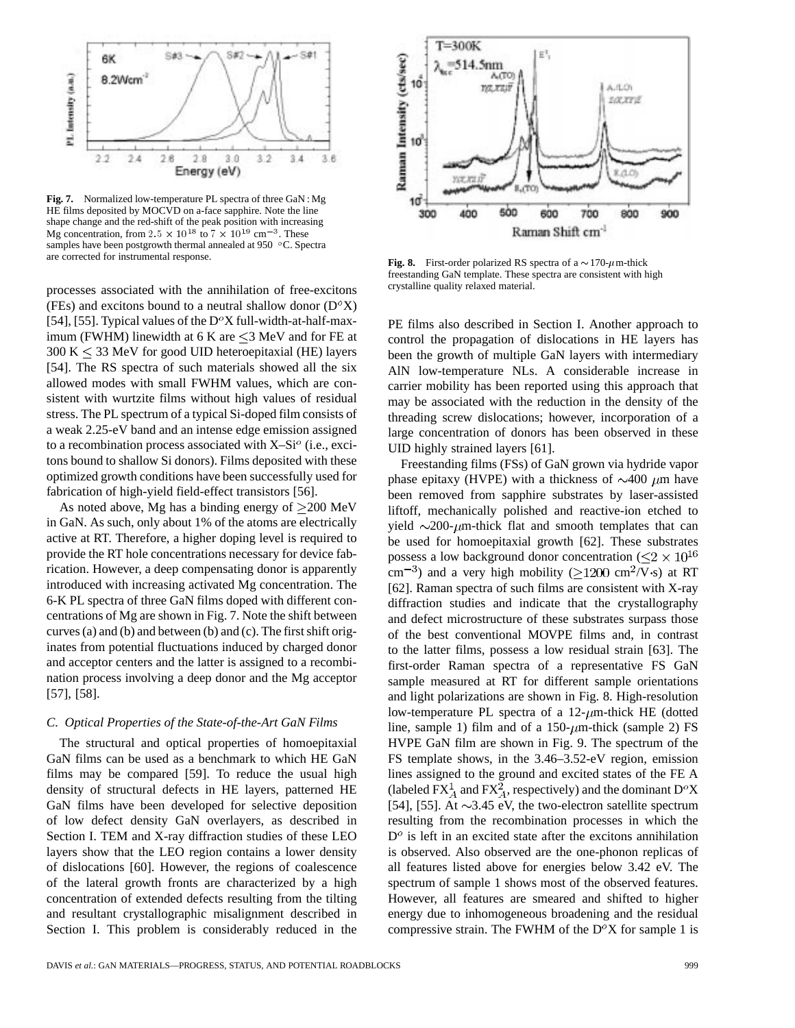

**Fig. 7.** Normalized low-temperature PL spectra of three GaN : Mg HE films deposited by MOCVD on a-face sapphire. Note the line shape change and the red-shift of the peak position with increasing Mg concentration, from 2.5  $\times$  10<sup>18</sup> to 7  $\times$  10<sup>19</sup> cm<sup>-3</sup>. These samples have been postgrowth thermal annealed at 950  $\,^{\circ}$ C. Spectra are corrected for instrumental response.

processes associated with the annihilation of free-excitons (FEs) and excitons bound to a neutral shallow donor  $(D<sup>o</sup>X)$ [54], [55]. Typical values of the  $D^{\circ}X$  full-width-at-half-maximum (FWHM) linewidth at 6 K are  $\leq$ 3 MeV and for FE at  $300 K < 33$  MeV for good UID heteroepitaxial (HE) layers [54]. The RS spectra of such materials showed all the six allowed modes with small FWHM values, which are consistent with wurtzite films without high values of residual stress. The PL spectrum of a typical Si-doped film consists of a weak 2.25-eV band and an intense edge emission assigned to a recombination process associated with  $X-Si<sup>o</sup>$  (i.e., excitons bound to shallow Si donors). Films deposited with these optimized growth conditions have been successfully used for fabrication of high-yield field-effect transistors [56].

As noted above, Mg has a binding energy of  $\geq$ 200 MeV in GaN. As such, only about 1% of the atoms are electrically active at RT. Therefore, a higher doping level is required to provide the RT hole concentrations necessary for device fabrication. However, a deep compensating donor is apparently introduced with increasing activated Mg concentration. The 6-K PL spectra of three GaN films doped with different concentrations of Mg are shown in Fig. 7. Note the shift between curves (a) and (b) and between (b) and (c). The first shift originates from potential fluctuations induced by charged donor and acceptor centers and the latter is assigned to a recombination process involving a deep donor and the Mg acceptor [57], [58].

#### *C. Optical Properties of the State-of-the-Art GaN Films*

The structural and optical properties of homoepitaxial GaN films can be used as a benchmark to which HE GaN films may be compared [59]. To reduce the usual high density of structural defects in HE layers, patterned HE GaN films have been developed for selective deposition of low defect density GaN overlayers, as described in Section I. TEM and X-ray diffraction studies of these LEO layers show that the LEO region contains a lower density of dislocations [60]. However, the regions of coalescence of the lateral growth fronts are characterized by a high concentration of extended defects resulting from the tilting and resultant crystallographic misalignment described in Section I. This problem is considerably reduced in the



**Fig. 8.** First-order polarized RS spectra of a  $\sim$  170- $\mu$ m-thick freestanding GaN template. These spectra are consistent with high crystalline quality relaxed material.

PE films also described in Section I. Another approach to control the propagation of dislocations in HE layers has been the growth of multiple GaN layers with intermediary AlN low-temperature NLs. A considerable increase in carrier mobility has been reported using this approach that may be associated with the reduction in the density of the threading screw dislocations; however, incorporation of a large concentration of donors has been observed in these UID highly strained layers [61].

Freestanding films (FSs) of GaN grown via hydride vapor phase epitaxy (HVPE) with a thickness of  $\sim$ 400  $\mu$ m have been removed from sapphire substrates by laser-assisted liftoff, mechanically polished and reactive-ion etched to yield  $\sim$ 200- $\mu$ m-thick flat and smooth templates that can be used for homoepitaxial growth [62]. These substrates possess a low background donor concentration ( $\leq 2 \times 10^{16}$ )  $\text{cm}^{-3}$ ) and a very high mobility ( $>1200 \text{ cm}^2$ /V·s) at RT [62]. Raman spectra of such films are consistent with X-ray diffraction studies and indicate that the crystallography and defect microstructure of these substrates surpass those of the best conventional MOVPE films and, in contrast to the latter films, possess a low residual strain [63]. The first-order Raman spectra of a representative FS GaN sample measured at RT for different sample orientations and light polarizations are shown in Fig. 8. High-resolution low-temperature PL spectra of a  $12-\mu m$ -thick HE (dotted line, sample 1) film and of a  $150$ - $\mu$ m-thick (sample 2) FS HVPE GaN film are shown in Fig. 9. The spectrum of the FS template shows, in the 3.46–3.52-eV region, emission lines assigned to the ground and excited states of the FE A (labeled  $FX_A^1$  and  $FX_A^2$ , respectively) and the dominant  $D^oX$ [54], [55]. At  $\sim$ 3.45 eV, the two-electron satellite spectrum resulting from the recombination processes in which the  $D<sup>o</sup>$  is left in an excited state after the excitons annihilation is observed. Also observed are the one-phonon replicas of all features listed above for energies below 3.42 eV. The spectrum of sample 1 shows most of the observed features. However, all features are smeared and shifted to higher energy due to inhomogeneous broadening and the residual compressive strain. The FWHM of the  $D^{\circ}X$  for sample 1 is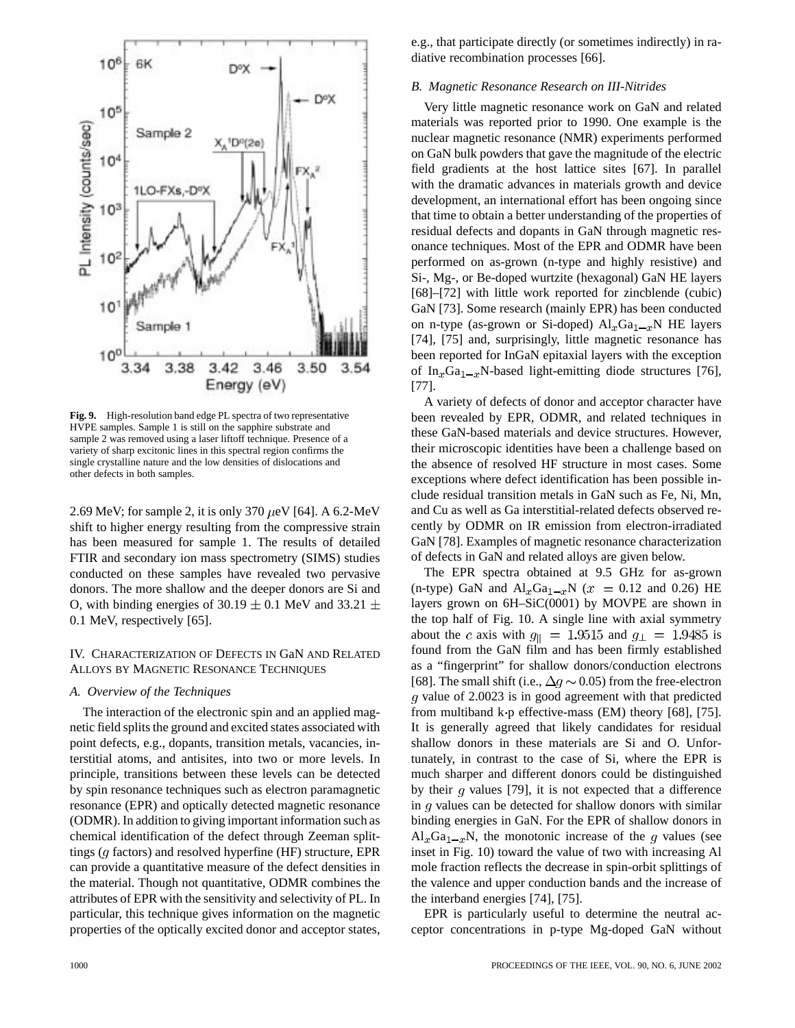

**Fig. 9.** High-resolution band edge PL spectra of two representative HVPE samples. Sample 1 is still on the sapphire substrate and sample 2 was removed using a laser liftoff technique. Presence of a variety of sharp excitonic lines in this spectral region confirms the single crystalline nature and the low densities of dislocations and other defects in both samples.

2.69 MeV; for sample 2, it is only 370  $\mu$ eV [64]. A 6.2-MeV shift to higher energy resulting from the compressive strain has been measured for sample 1. The results of detailed FTIR and secondary ion mass spectrometry (SIMS) studies conducted on these samples have revealed two pervasive donors. The more shallow and the deeper donors are Si and O, with binding energies of 30.19  $\pm$  0.1 MeV and 33.21  $\pm$ 0.1 MeV, respectively [65].

#### IV. CHARACTERIZATION OF DEFECTS IN GaN AND RELATED ALLOYS BY MAGNETIC RESONANCE TECHNIQUES

#### *A. Overview of the Techniques*

The interaction of the electronic spin and an applied magnetic field splits the ground and excited states associated with point defects, e.g., dopants, transition metals, vacancies, interstitial atoms, and antisites, into two or more levels. In principle, transitions between these levels can be detected by spin resonance techniques such as electron paramagnetic resonance (EPR) and optically detected magnetic resonance (ODMR). In addition to giving important information such as chemical identification of the defect through Zeeman splittings  $(q \text{ factors})$  and resolved hyperfine (HF) structure, EPR can provide a quantitative measure of the defect densities in the material. Though not quantitative, ODMR combines the attributes of EPR with the sensitivity and selectivity of PL. In particular, this technique gives information on the magnetic properties of the optically excited donor and acceptor states,

e.g., that participate directly (or sometimes indirectly) in radiative recombination processes [66].

#### *B. Magnetic Resonance Research on III-Nitrides*

Very little magnetic resonance work on GaN and related materials was reported prior to 1990. One example is the nuclear magnetic resonance (NMR) experiments performed on GaN bulk powders that gave the magnitude of the electric field gradients at the host lattice sites [67]. In parallel with the dramatic advances in materials growth and device development, an international effort has been ongoing since that time to obtain a better understanding of the properties of residual defects and dopants in GaN through magnetic resonance techniques. Most of the EPR and ODMR have been performed on as-grown (n-type and highly resistive) and Si-, Mg-, or Be-doped wurtzite (hexagonal) GaN HE layers [68]–[72] with little work reported for zincblende (cubic) GaN [73]. Some research (mainly EPR) has been conducted on n-type (as-grown or Si-doped)  $Al_xGa_{1-x}N$  HE layers [74], [75] and, surprisingly, little magnetic resonance has been reported for InGaN epitaxial layers with the exception of In<sub>x</sub>Ga<sub>1-x</sub>N-based light-emitting diode structures [76], [77].

A variety of defects of donor and acceptor character have been revealed by EPR, ODMR, and related techniques in these GaN-based materials and device structures. However, their microscopic identities have been a challenge based on the absence of resolved HF structure in most cases. Some exceptions where defect identification has been possible include residual transition metals in GaN such as Fe, Ni, Mn, and Cu as well as Ga interstitial-related defects observed recently by ODMR on IR emission from electron-irradiated GaN [78]. Examples of magnetic resonance characterization of defects in GaN and related alloys are given below.

The EPR spectra obtained at 9.5 GHz for as-grown (n-type) GaN and  $\text{Al}_x\text{Ga}_{1-x}\text{N}$  ( $x = 0.12$  and 0.26) HE layers grown on 6H–SiC(0001) by MOVPE are shown in the top half of Fig. 10. A single line with axial symmetry about the c axis with  $g_{\parallel} = 1.9515$  and  $g_{\perp} = 1.9485$  is found from the GaN film and has been firmly established as a "fingerprint" for shallow donors/conduction electrons [68]. The small shift (i.e.,  $\Delta q \sim 0.05$ ) from the free-electron  $g$  value of 2.0023 is in good agreement with that predicted from multiband  $k \cdot p$  effective-mass (EM) theory [68], [75]. It is generally agreed that likely candidates for residual shallow donors in these materials are Si and O. Unfortunately, in contrast to the case of Si, where the EPR is much sharper and different donors could be distinguished by their  $q$  values [79], it is not expected that a difference in  $g$  values can be detected for shallow donors with similar binding energies in GaN. For the EPR of shallow donors in  $\text{Al}_x\text{Ga}_{1-x}\text{N}$ , the monotonic increase of the q values (see inset in Fig. 10) toward the value of two with increasing Al mole fraction reflects the decrease in spin-orbit splittings of the valence and upper conduction bands and the increase of the interband energies [74], [75].

EPR is particularly useful to determine the neutral acceptor concentrations in p-type Mg-doped GaN without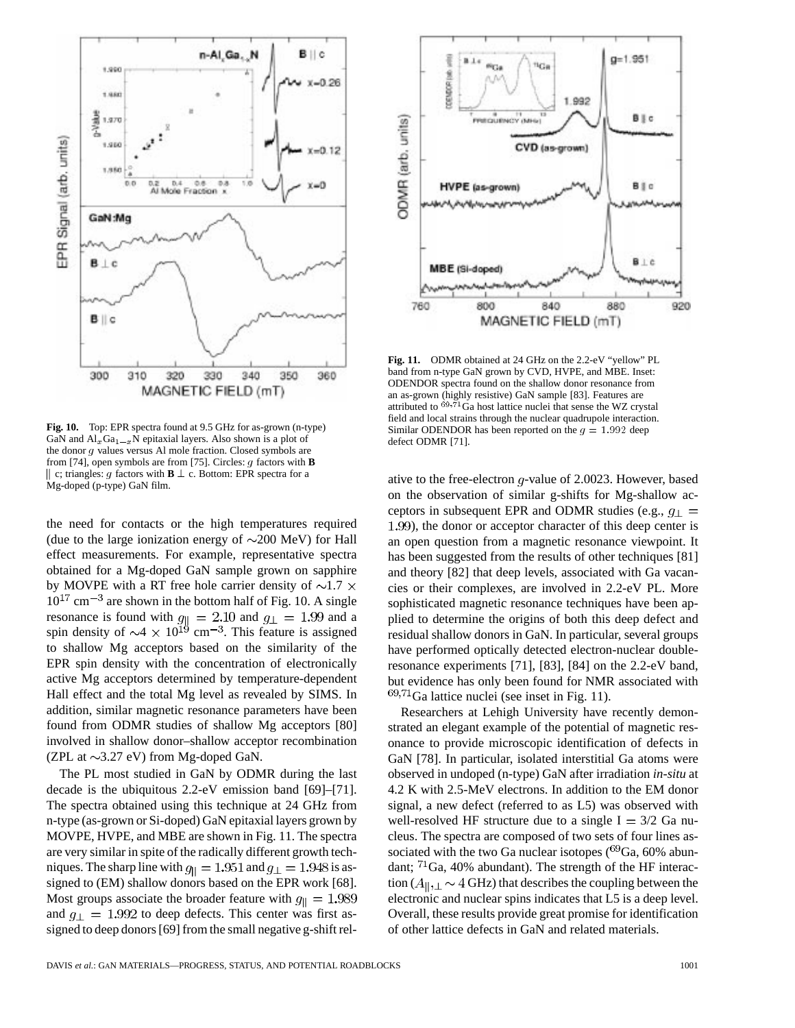

**Fig. 10.** Top: EPR spectra found at 9.5 GHz for as-grown (n-type) GaN and  $\text{Al}_x\text{Ga}_{1-x}$ N epitaxial layers. Also shown is a plot of the donor g values versus Al mole fraction. Closed symbols are from [74], open symbols are from [75]. Circles: g factors with **B** || c; triangles: g factors with  $\mathbf{B} \perp c$ . Bottom: EPR spectra for a Mg-doped (p-type) GaN film.

the need for contacts or the high temperatures required (due to the large ionization energy of  $\sim$ 200 MeV) for Hall effect measurements. For example, representative spectra obtained for a Mg-doped GaN sample grown on sapphire by MOVPE with a RT free hole carrier density of  $\sim$ 1.7  $\times$  $10^{17}$  cm<sup>-3</sup> are shown in the bottom half of Fig. 10. A single resonance is found with  $g_{\parallel} = 2.10$  and  $g_{\perp} = 1.99$  and a spin density of  $\sim$ 4  $\times$  10<sup>19</sup> cm<sup>-3</sup>. This feature is assigned to shallow Mg acceptors based on the similarity of the EPR spin density with the concentration of electronically active Mg acceptors determined by temperature-dependent Hall effect and the total Mg level as revealed by SIMS. In addition, similar magnetic resonance parameters have been found from ODMR studies of shallow Mg acceptors [80] involved in shallow donor–shallow acceptor recombination (ZPL at  $\sim$ 3.27 eV) from Mg-doped GaN.

The PL most studied in GaN by ODMR during the last decade is the ubiquitous 2.2-eV emission band [69]–[71]. The spectra obtained using this technique at 24 GHz from n-type (as-grown or Si-doped) GaN epitaxial layers grown by MOVPE, HVPE, and MBE are shown in Fig. 11. The spectra are very similar in spite of the radically different growth techniques. The sharp line with  $g_{\parallel} = 1.951$  and  $g_{\perp} = 1.948$  is assigned to (EM) shallow donors based on the EPR work [68]. Most groups associate the broader feature with  $g_{\parallel} = 1.989$ and  $g_{\perp} = 1.992$  to deep defects. This center was first assigned to deep donors [69] from the small negative g-shift rel-



**Fig. 11.** ODMR obtained at 24 GHz on the 2.2-eV "yellow" PL band from n-type GaN grown by CVD, HVPE, and MBE. Inset: ODENDOR spectra found on the shallow donor resonance from an as-grown (highly resistive) GaN sample [83]. Features are attributed to  $e^{i\Theta}$ ,  $\overline{e}$ <sup>1</sup>Ga host lattice nuclei that sense the WZ crystal field and local strains through the nuclear quadrupole interaction. Similar ODENDOR has been reported on the  $g = 1.992$  deep defect ODMR [71].

ative to the free-electron  $q$ -value of 2.0023. However, based on the observation of similar g-shifts for Mg-shallow acceptors in subsequent EPR and ODMR studies (e.g.,  $q_{\perp}$ ) 1.99), the donor or acceptor character of this deep center is an open question from a magnetic resonance viewpoint. It has been suggested from the results of other techniques [81] and theory [82] that deep levels, associated with Ga vacancies or their complexes, are involved in 2.2-eV PL. More sophisticated magnetic resonance techniques have been applied to determine the origins of both this deep defect and residual shallow donors in GaN. In particular, several groups have performed optically detected electron-nuclear doubleresonance experiments [71], [83], [84] on the 2.2-eV band, but evidence has only been found for NMR associated with  $69,71$ Ga lattice nuclei (see inset in Fig. 11).

Researchers at Lehigh University have recently demonstrated an elegant example of the potential of magnetic resonance to provide microscopic identification of defects in GaN [78]. In particular, isolated interstitial Ga atoms were observed in undoped (n-type) GaN after irradiation *in-situ* at 4.2 K with 2.5-MeV electrons. In addition to the EM donor signal, a new defect (referred to as L5) was observed with well-resolved HF structure due to a single  $I = 3/2$  Ga nucleus. The spectra are composed of two sets of four lines associated with the two Ga nuclear isotopes  $(^{69}Ga, 60\%$  abundant;  $^{71}$ Ga, 40% abundant). The strength of the HF interaction  $(A_{\parallel}, \perp \sim 4 \text{ GHz})$  that describes the coupling between the electronic and nuclear spins indicates that L5 is a deep level. Overall, these results provide great promise for identification of other lattice defects in GaN and related materials.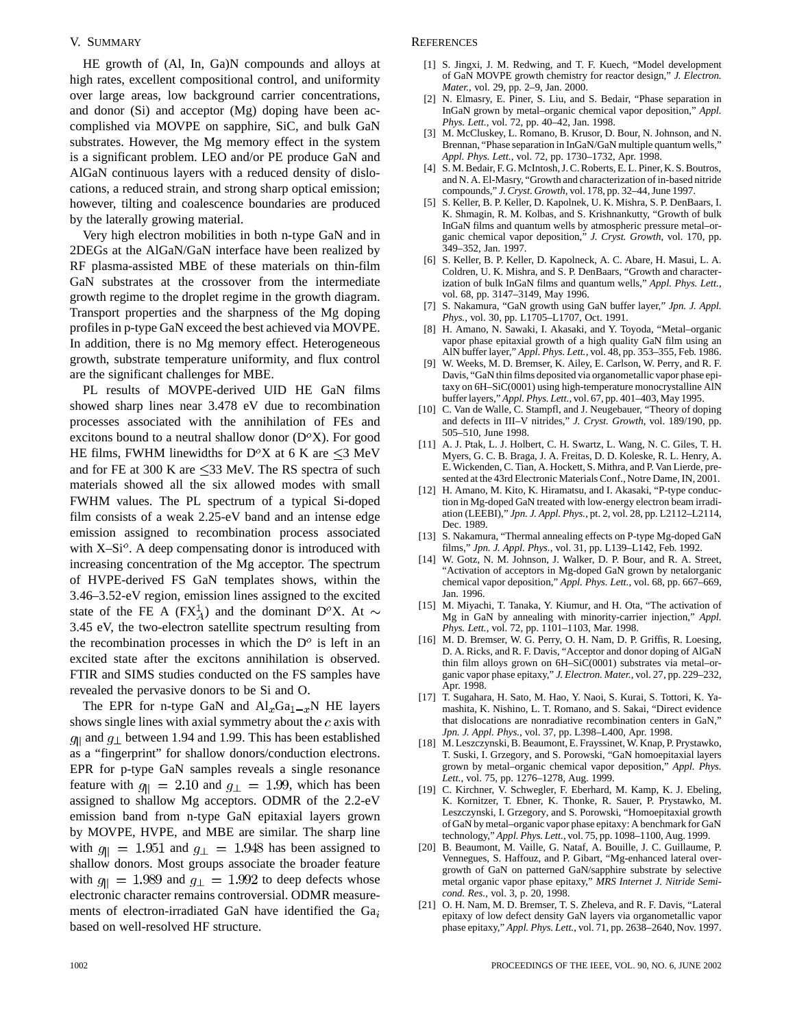#### V. SUMMARY

HE growth of (Al, In, Ga)N compounds and alloys at high rates, excellent compositional control, and uniformity over large areas, low background carrier concentrations, and donor (Si) and acceptor (Mg) doping have been accomplished via MOVPE on sapphire, SiC, and bulk GaN substrates. However, the Mg memory effect in the system is a significant problem. LEO and/or PE produce GaN and AlGaN continuous layers with a reduced density of dislocations, a reduced strain, and strong sharp optical emission; however, tilting and coalescence boundaries are produced by the laterally growing material.

Very high electron mobilities in both n-type GaN and in 2DEGs at the AlGaN/GaN interface have been realized by RF plasma-assisted MBE of these materials on thin-film GaN substrates at the crossover from the intermediate growth regime to the droplet regime in the growth diagram. Transport properties and the sharpness of the Mg doping profiles in p-type GaN exceed the best achieved via MOVPE. In addition, there is no Mg memory effect. Heterogeneous growth, substrate temperature uniformity, and flux control are the significant challenges for MBE.

PL results of MOVPE-derived UID HE GaN films showed sharp lines near 3.478 eV due to recombination processes associated with the annihilation of FEs and excitons bound to a neutral shallow donor  $(D<sup>o</sup>X)$ . For good HE films, FWHM linewidths for  $D^{\circ}X$  at 6 K are  $\leq$ 3 MeV and for FE at 300 K are  $\leq$ 33 MeV. The RS spectra of such materials showed all the six allowed modes with small FWHM values. The PL spectrum of a typical Si-doped film consists of a weak 2.25-eV band and an intense edge emission assigned to recombination process associated with  $X-Si<sup>o</sup>$ . A deep compensating donor is introduced with increasing concentration of the Mg acceptor. The spectrum of HVPE-derived FS GaN templates shows, within the 3.46–3.52-eV region, emission lines assigned to the excited state of the FE A (FX<sup>1</sup><sub>A</sub>) and the dominant D<sup>o</sup>X. At  $\sim$ 3.45 eV, the two-electron satellite spectrum resulting from the recombination processes in which the  $D<sup>o</sup>$  is left in an excited state after the excitons annihilation is observed. FTIR and SIMS studies conducted on the FS samples have revealed the pervasive donors to be Si and O.

The EPR for n-type GaN and  $\text{Al}_x\text{Ga}_{1-x}\text{N}$  HE layers shows single lines with axial symmetry about the  $c$  axis with  $g_{\parallel}$  and  $g_{\perp}$  between 1.94 and 1.99. This has been established as a "fingerprint" for shallow donors/conduction electrons. EPR for p-type GaN samples reveals a single resonance feature with  $g_{\parallel} = 2.10$  and  $g_{\perp} = 1.99$ , which has been assigned to shallow Mg acceptors. ODMR of the 2.2-eV emission band from n-type GaN epitaxial layers grown by MOVPE, HVPE, and MBE are similar. The sharp line with  $g_{\parallel}$  = 1.951 and  $g_{\perp}$  = 1.948 has been assigned to shallow donors. Most groups associate the broader feature with  $g_{\parallel} = 1.989$  and  $g_{\perp} = 1.992$  to deep defects whose electronic character remains controversial. ODMR measurements of electron-irradiated GaN have identified the  $Ga<sub>i</sub>$ based on well-resolved HF structure.

#### **REFERENCES**

- [1] S. Jingxi, J. M. Redwing, and T. F. Kuech, "Model development of GaN MOVPE growth chemistry for reactor design," *J. Electron. Mater.*, vol. 29, pp. 2–9, Jan. 2000.
- [2] N. Elmasry, E. Piner, S. Liu, and S. Bedair, "Phase separation in InGaN grown by metal–organic chemical vapor deposition," *Appl. Phys. Lett.*, vol. 72, pp. 40–42, Jan. 1998.
- [3] M. McCluskey, L. Romano, B. Krusor, D. Bour, N. Johnson, and N. Brennan, "Phase separation in InGaN/GaN multiple quantum wells," *Appl. Phys. Lett.*, vol. 72, pp. 1730–1732, Apr. 1998.
- [4] S. M. Bedair, F. G. McIntosh, J. C. Roberts, E. L. Piner, K. S. Boutros, and N. A. El-Masry, "Growth and characterization of in-based nitride compounds," *J. Cryst. Growth*, vol. 178, pp. 32–44, June 1997.
- [5] S. Keller, B. P. Keller, D. Kapolnek, U. K. Mishra, S. P. DenBaars, I. K. Shmagin, R. M. Kolbas, and S. Krishnankutty, "Growth of bulk InGaN films and quantum wells by atmospheric pressure metal–organic chemical vapor deposition," *J. Cryst. Growth*, vol. 170, pp. 349–352, Jan. 1997.
- [6] S. Keller, B. P. Keller, D. Kapolneck, A. C. Abare, H. Masui, L. A. Coldren, U. K. Mishra, and S. P. DenBaars, "Growth and characterization of bulk InGaN films and quantum wells," *Appl. Phys. Lett.*, vol. 68, pp. 3147–3149, May 1996.
- [7] S. Nakamura, "GaN growth using GaN buffer layer," *Jpn. J. Appl. Phys.*, vol. 30, pp. L1705–L1707, Oct. 1991.
- [8] H. Amano, N. Sawaki, I. Akasaki, and Y. Toyoda, "Metal–organic vapor phase epitaxial growth of a high quality GaN film using an AlN buffer layer," *Appl. Phys. Lett.*, vol. 48, pp. 353–355, Feb. 1986.
- [9] W. Weeks, M. D. Bremser, K. Ailey, E. Carlson, W. Perry, and R. F. Davis, "GaN thin films deposited via organometallic vapor phase epitaxy on 6H–SiC(0001) using high-temperature monocrystalline AlN buffer layers," *Appl. Phys. Lett.*, vol. 67, pp. 401–403, May 1995.
- [10] C. Van de Walle, C. Stampfl, and J. Neugebauer, "Theory of doping and defects in III–V nitrides," *J. Cryst. Growth*, vol. 189/190, pp. 505–510, June 1998.
- [11] A. J. Ptak, L. J. Holbert, C. H. Swartz, L. Wang, N. C. Giles, T. H. Myers, G. C. B. Braga, J. A. Freitas, D. D. Koleske, R. L. Henry, A. E. Wickenden, C. Tian, A. Hockett, S. Mithra, and P. Van Lierde, presented at the 43rd Electronic Materials Conf., Notre Dame, IN, 2001.
- [12] H. Amano, M. Kito, K. Hiramatsu, and I. Akasaki, "P-type conduction in Mg-doped GaN treated with low-energy electron beam irradiation (LEEBI)," *Jpn. J. Appl. Phys.*, pt. 2, vol. 28, pp. L2112–L2114, Dec. 1989.
- [13] S. Nakamura, "Thermal annealing effects on P-type Mg-doped GaN films," *Jpn. J. Appl. Phys.*, vol. 31, pp. L139–L142, Feb. 1992.
- [14] W. Gotz, N. M. Johnson, J. Walker, D. P. Bour, and R. A. Street, "Activation of acceptors in Mg-doped GaN grown by netalorganic chemical vapor deposition," *Appl. Phys. Lett.*, vol. 68, pp. 667–669, Jan. 1996.
- [15] M. Miyachi, T. Tanaka, Y. Kiumur, and H. Ota, "The activation of Mg in GaN by annealing with minority-carrier injection," *Appl. Phys. Lett.*, vol. 72, pp. 1101–1103, Mar. 1998.
- [16] M. D. Bremser, W. G. Perry, O. H. Nam, D. P. Griffis, R. Loesing, D. A. Ricks, and R. F. Davis, "Acceptor and donor doping of AlGaN thin film alloys grown on 6H–SiC(0001) substrates via metal–organic vapor phase epitaxy," *J. Electron. Mater.*, vol. 27, pp. 229–232, Apr. 1998.
- [17] T. Sugahara, H. Sato, M. Hao, Y. Naoi, S. Kurai, S. Tottori, K. Yamashita, K. Nishino, L. T. Romano, and S. Sakai, "Direct evidence that dislocations are nonradiative recombination centers in GaN," *Jpn. J. Appl. Phys.*, vol. 37, pp. L398–L400, Apr. 1998.
- [18] M. Leszczynski, B. Beaumont, E. Frayssinet, W. Knap, P. Prystawko, T. Suski, I. Grzegory, and S. Porowski, "GaN homoepitaxial layers grown by metal–organic chemical vapor deposition," *Appl. Phys. Lett.*, vol. 75, pp. 1276–1278, Aug. 1999.
- [19] C. Kirchner, V. Schwegler, F. Eberhard, M. Kamp, K. J. Ebeling, K. Kornitzer, T. Ebner, K. Thonke, R. Sauer, P. Prystawko, M. Leszczynski, I. Grzegory, and S. Porowski, "Homoepitaxial growth of GaN by metal–organic vapor phase epitaxy: A benchmark for GaN technology," *Appl. Phys. Lett.*, vol. 75, pp. 1098–1100, Aug. 1999.
- [20] B. Beaumont, M. Vaille, G. Nataf, A. Bouille, J. C. Guillaume, P. Vennegues, S. Haffouz, and P. Gibart, "Mg-enhanced lateral overgrowth of GaN on patterned GaN/sapphire substrate by selective metal organic vapor phase epitaxy," *MRS Internet J. Nitride Semicond. Res.*, vol. 3, p. 20, 1998.
- [21] O. H. Nam, M. D. Bremser, T. S. Zheleva, and R. F. Davis, "Lateral epitaxy of low defect density GaN layers via organometallic vapor phase epitaxy," *Appl. Phys. Lett.*, vol. 71, pp. 2638–2640, Nov. 1997.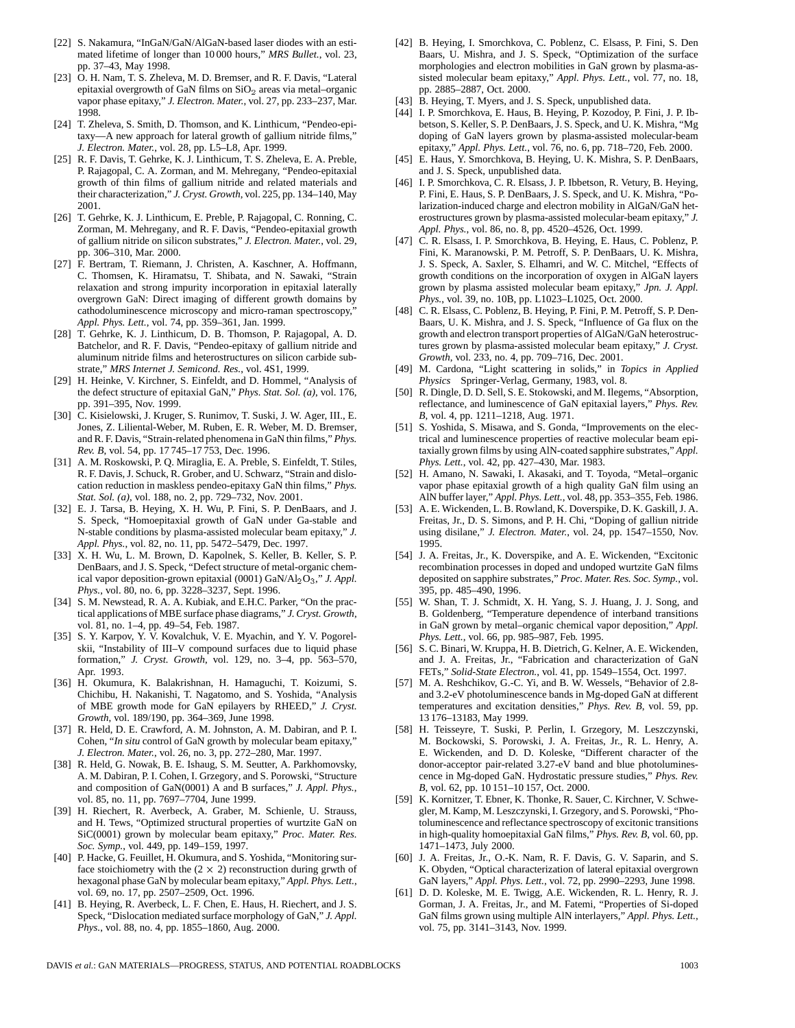- [22] S. Nakamura, "InGaN/GaN/AlGaN-based laser diodes with an estimated lifetime of longer than 10 000 hours," *MRS Bullet.*, vol. 23, pp. 37–43, May 1998.
- [23] O. H. Nam, T. S. Zheleva, M. D. Bremser, and R. F. Davis, "Lateral epitaxial overgrowth of GaN films on  $SiO<sub>2</sub>$  areas via metal–organic vapor phase epitaxy," *J. Electron. Mater.*, vol. 27, pp. 233–237, Mar. 1998.
- [24] T. Zheleva, S. Smith, D. Thomson, and K. Linthicum, "Pendeo-epitaxy—A new approach for lateral growth of gallium nitride films," *J. Electron. Mater.*, vol. 28, pp. L5–L8, Apr. 1999.
- [25] R. F. Davis, T. Gehrke, K. J. Linthicum, T. S. Zheleva, E. A. Preble, P. Rajagopal, C. A. Zorman, and M. Mehregany, "Pendeo-epitaxial growth of thin films of gallium nitride and related materials and their characterization," *J. Cryst. Growth*, vol. 225, pp. 134–140, May 2001.
- [26] T. Gehrke, K. J. Linthicum, E. Preble, P. Rajagopal, C. Ronning, C. Zorman, M. Mehregany, and R. F. Davis, "Pendeo-epitaxial growth of gallium nitride on silicon substrates," *J. Electron. Mater.*, vol. 29, pp. 306–310, Mar. 2000.
- [27] F. Bertram, T. Riemann, J. Christen, A. Kaschner, A. Hoffmann, C. Thomsen, K. Hiramatsu, T. Shibata, and N. Sawaki, "Strain relaxation and strong impurity incorporation in epitaxial laterally overgrown GaN: Direct imaging of different growth domains by cathodoluminescence microscopy and micro-raman spectroscopy," *Appl. Phys. Lett.*, vol. 74, pp. 359–361, Jan. 1999.
- [28] T. Gehrke, K. J. Linthicum, D. B. Thomson, P. Rajagopal, A. D. Batchelor, and R. F. Davis, "Pendeo-epitaxy of gallium nitride and aluminum nitride films and heterostructures on silicon carbide substrate," *MRS Internet J. Semicond. Res.*, vol. 4S1, 1999.
- [29] H. Heinke, V. Kirchner, S. Einfeldt, and D. Hommel, "Analysis of the defect structure of epitaxial GaN," *Phys. Stat. Sol. (a)*, vol. 176, pp. 391–395, Nov. 1999.
- [30] C. Kisielowski, J. Kruger, S. Runimov, T. Suski, J. W. Ager, III., E. Jones, Z. Liliental-Weber, M. Ruben, E. R. Weber, M. D. Bremser, and R. F. Davis, "Strain-related phenomena in GaN thin films," *Phys. Rev. B*, vol. 54, pp. 17 745–17 753, Dec. 1996.
- [31] A. M. Roskowski, P. Q. Miraglia, E. A. Preble, S. Einfeldt, T. Stiles, R. F. Davis, J. Schuck, R. Grober, and U. Schwarz, "Strain and dislocation reduction in maskless pendeo-epitaxy GaN thin films," *Phys. Stat. Sol. (a)*, vol. 188, no. 2, pp. 729–732, Nov. 2001.
- [32] E. J. Tarsa, B. Heying, X. H. Wu, P. Fini, S. P. DenBaars, and J. S. Speck, "Homoepitaxial growth of GaN under Ga-stable and N-stable conditions by plasma-assisted molecular beam epitaxy," *J. Appl. Phys.*, vol. 82, no. 11, pp. 5472–5479, Dec. 1997.
- [33] X. H. Wu, L. M. Brown, D. Kapolnek, S. Keller, B. Keller, S. P. DenBaars, and J. S. Speck, "Defect structure of metal-organic chemical vapor deposition-grown epitaxial (0001) GaN/Al<sub>2</sub>O<sub>3</sub>," *J. Appl. Phys.*, vol. 80, no. 6, pp. 3228–3237, Sept. 1996.
- [34] S. M. Newstead, R. A. A. Kubiak, and E.H.C. Parker, "On the practical applications of MBE surface phase diagrams," *J. Cryst. Growth*, vol. 81, no. 1–4, pp. 49–54, Feb. 1987.
- [35] S. Y. Karpov, Y. V. Kovalchuk, V. E. Myachin, and Y. V. Pogorelskii, "Instability of III–V compound surfaces due to liquid phase formation," *J. Cryst. Growth*, vol. 129, no. 3–4, pp. 563–570, Apr. 1993.
- [36] H. Okumura, K. Balakrishnan, H. Hamaguchi, T. Koizumi, S. Chichibu, H. Nakanishi, T. Nagatomo, and S. Yoshida, "Analysis of MBE growth mode for GaN epilayers by RHEED," *J. Cryst. Growth*, vol. 189/190, pp. 364–369, June 1998.
- [37] R. Held, D. E. Crawford, A. M. Johnston, A. M. Dabiran, and P. I. Cohen, "*In situ* control of GaN growth by molecular beam epitaxy," *J. Electron. Mater.*, vol. 26, no. 3, pp. 272–280, Mar. 1997.
- [38] R. Held, G. Nowak, B. E. Ishaug, S. M. Seutter, A. Parkhomovsky, A. M. Dabiran, P. I. Cohen, I. Grzegory, and S. Porowski, "Structure and composition of GaN(0001) A and B surfaces," *J. Appl. Phys.*, vol. 85, no. 11, pp. 7697–7704, June 1999.
- [39] H. Riechert, R. Averbeck, A. Graber, M. Schienle, U. Strauss, and H. Tews, "Optimized structural properties of wurtzite GaN on SiC(0001) grown by molecular beam epitaxy," *Proc. Mater. Res. Soc. Symp.*, vol. 449, pp. 149–159, 1997.
- [40] P. Hacke, G. Feuillet, H. Okumura, and S. Yoshida, "Monitoring surface stoichiometry with the  $(2 \times 2)$  reconstruction during grwth of hexagonal phase GaN by molecular beam epitaxy," *Appl. Phys. Lett.*, vol. 69, no. 17, pp. 2507–2509, Oct. 1996.
- [41] B. Heying, R. Averbeck, L. F. Chen, E. Haus, H. Riechert, and J. S. Speck, "Dislocation mediated surface morphology of GaN," *J. Appl. Phys.*, vol. 88, no. 4, pp. 1855–1860, Aug. 2000.
- [42] B. Heying, I. Smorchkova, C. Poblenz, C. Elsass, P. Fini, S. Den Baars, U. Mishra, and J. S. Speck, "Optimization of the surface morphologies and electron mobilities in GaN grown by plasma-assisted molecular beam epitaxy," *Appl. Phys. Lett.*, vol. 77, no. 18, pp. 2885–2887, Oct. 2000.
- [43] B. Heying, T. Myers, and J. S. Speck, unpublished data.
- [44] I. P. Smorchkova, E. Haus, B. Heying, P. Kozodoy, P. Fini, J. P. Ibbetson, S. Keller, S. P. DenBaars, J. S. Speck, and U. K. Mishra, "Mg doping of GaN layers grown by plasma-assisted molecular-beam epitaxy," *Appl. Phys. Lett.*, vol. 76, no. 6, pp. 718–720, Feb. 2000.
- [45] E. Haus, Y. Smorchkova, B. Heying, U. K. Mishra, S. P. DenBaars, and J. S. Speck, unpublished data.
- [46] I. P. Smorchkova, C. R. Elsass, J. P. Ibbetson, R. Vetury, B. Heying, P. Fini, E. Haus, S. P. DenBaars, J. S. Speck, and U. K. Mishra, "Polarization-induced charge and electron mobility in AlGaN/GaN heterostructures grown by plasma-assisted molecular-beam epitaxy," *J. Appl. Phys.*, vol. 86, no. 8, pp. 4520–4526, Oct. 1999.
- [47] C. R. Elsass, I. P. Smorchkova, B. Heying, E. Haus, C. Poblenz, P. Fini, K. Maranowski, P. M. Petroff, S. P. DenBaars, U. K. Mishra, J. S. Speck, A. Saxler, S. Elhamri, and W. C. Mitchel, "Effects of growth conditions on the incorporation of oxygen in AlGaN layers grown by plasma assisted molecular beam epitaxy," *Jpn. J. Appl. Phys.*, vol. 39, no. 10B, pp. L1023–L1025, Oct. 2000.
- [48] C. R. Elsass, C. Poblenz, B. Heying, P. Fini, P. M. Petroff, S. P. Den-Baars, U. K. Mishra, and J. S. Speck, "Influence of Ga flux on the growth and electron transport properties of AlGaN/GaN heterostructures grown by plasma-assisted molecular beam epitaxy," *J. Cryst. Growth*, vol. 233, no. 4, pp. 709–716, Dec. 2001.
- [49] M. Cardona, "Light scattering in solids," in *Topics in Applied Physics* Springer-Verlag, Germany, 1983, vol. 8.
- [50] R. Dingle, D. D. Sell, S. E. Stokowski, and M. Ilegems, "Absorption, reflectance, and luminescence of GaN epitaxial layers," *Phys. Rev. B*, vol. 4, pp. 1211–1218, Aug. 1971.
- [51] S. Yoshida, S. Misawa, and S. Gonda, "Improvements on the electrical and luminescence properties of reactive molecular beam epitaxially grown films by using AlN-coated sapphire substrates," *Appl. Phys. Lett.*, vol. 42, pp. 427–430, Mar. 1983.
- [52] H. Amano, N. Sawaki, I. Akasaki, and T. Toyoda, "Metal–organic vapor phase epitaxial growth of a high quality GaN film using an AlN buffer layer," *Appl. Phys. Lett.*, vol. 48, pp. 353–355, Feb. 1986.
- [53] A. E. Wickenden, L. B. Rowland, K. Doverspike, D. K. Gaskill, J. A. Freitas, Jr., D. S. Simons, and P. H. Chi, "Doping of galliun nitride using disilane," *J. Electron. Mater.*, vol. 24, pp. 1547–1550, Nov. 1995.
- [54] J. A. Freitas, Jr., K. Doverspike, and A. E. Wickenden, "Excitonic recombination processes in doped and undoped wurtzite GaN films deposited on sapphire substrates," *Proc. Mater. Res. Soc. Symp.*, vol. 395, pp. 485–490, 1996.
- [55] W. Shan, T. J. Schmidt, X. H. Yang, S. J. Huang, J. J. Song, and B. Goldenberg, "Temperature dependence of interband transitions in GaN grown by metal–organic chemical vapor deposition," *Appl. Phys. Lett.*, vol. 66, pp. 985–987, Feb. 1995.
- [56] S. C. Binari, W. Kruppa, H. B. Dietrich, G. Kelner, A. E. Wickenden, and J. A. Freitas, Jr., "Fabrication and characterization of GaN FETs," *Solid-State Electron.*, vol. 41, pp. 1549–1554, Oct. 1997.
- [57] M. A. Reshchikov, G.-C. Yi, and B. W. Wessels, "Behavior of 2.8 and 3.2-eV photoluminescence bands in Mg-doped GaN at different temperatures and excitation densities," *Phys. Rev. B*, vol. 59, pp. 13 176–13183, May 1999.
- [58] H. Teisseyre, T. Suski, P. Perlin, I. Grzegory, M. Leszczynski, M. Bockowski, S. Porowski, J. A. Freitas, Jr., R. L. Henry, A. E. Wickenden, and D. D. Koleske, "Different character of the donor-acceptor pair-related 3.27-eV band and blue photoluminescence in Mg-doped GaN. Hydrostatic pressure studies," *Phys. Rev. B*, vol. 62, pp. 10 151–10 157, Oct. 2000.
- [59] K. Kornitzer, T. Ebner, K. Thonke, R. Sauer, C. Kirchner, V. Schwegler, M. Kamp, M. Leszczynski, I. Grzegory, and S. Porowski, "Photoluminescence and reflectance spectroscopy of excitonic transitions in high-quality homoepitaxial GaN films," *Phys. Rev. B*, vol. 60, pp. 1471–1473, July 2000.
- [60] J. A. Freitas, Jr., O.-K. Nam, R. F. Davis, G. V. Saparin, and S. K. Obyden, "Optical characterization of lateral epitaxial overgrown GaN layers," *Appl. Phys. Lett.*, vol. 72, pp. 2990–2293, June 1998.
- [61] D. D. Koleske, M. E. Twigg, A.E. Wickenden, R. L. Henry, R. J. Gorman, J. A. Freitas, Jr., and M. Fatemi, "Properties of Si-doped GaN films grown using multiple AlN interlayers," *Appl. Phys. Lett.*, vol. 75, pp. 3141–3143, Nov. 1999.